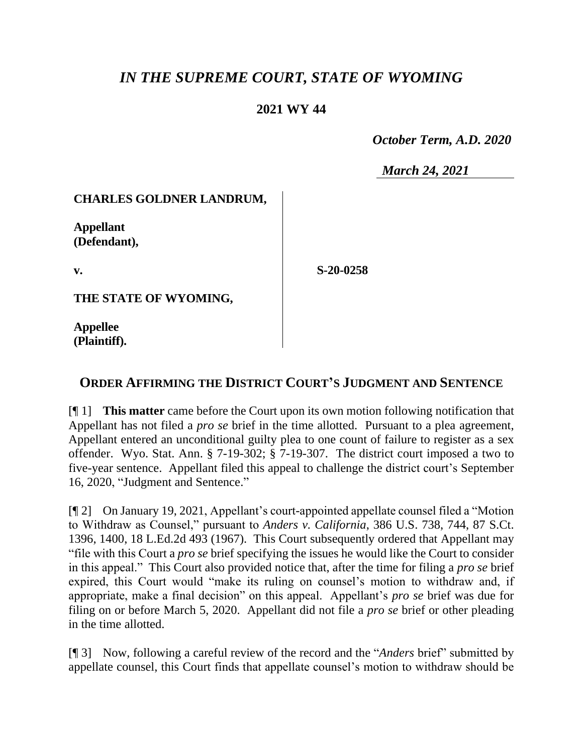# *IN THE SUPREME COURT, STATE OF WYOMING*

# **2021 WY 44**

 *October Term, A.D. 2020*

*March 24, 2021*

### **CHARLES GOLDNER LANDRUM,**

**Appellant (Defendant),**

**v.**

**S-20-0258**

**THE STATE OF WYOMING,**

**Appellee (Plaintiff).**

## **ORDER AFFIRMING THE DISTRICT COURT'S JUDGMENT AND SENTENCE**

[¶ 1] **This matter** came before the Court upon its own motion following notification that Appellant has not filed a *pro se* brief in the time allotted. Pursuant to a plea agreement, Appellant entered an unconditional guilty plea to one count of failure to register as a sex offender. Wyo. Stat. Ann. § 7-19-302; § 7-19-307. The district court imposed a two to five-year sentence. Appellant filed this appeal to challenge the district court's September 16, 2020, "Judgment and Sentence."

[¶ 2] On January 19, 2021, Appellant's court-appointed appellate counsel filed a "Motion to Withdraw as Counsel," pursuant to *Anders v. California*, 386 U.S. 738, 744, 87 S.Ct. 1396, 1400, 18 L.Ed.2d 493 (1967). This Court subsequently ordered that Appellant may "file with this Court a *pro se* brief specifying the issues he would like the Court to consider in this appeal." This Court also provided notice that, after the time for filing a *pro se* brief expired, this Court would "make its ruling on counsel's motion to withdraw and, if appropriate, make a final decision" on this appeal. Appellant's *pro se* brief was due for filing on or before March 5, 2020. Appellant did not file a *pro se* brief or other pleading in the time allotted.

[¶ 3] Now, following a careful review of the record and the "*Anders* brief" submitted by appellate counsel, this Court finds that appellate counsel's motion to withdraw should be